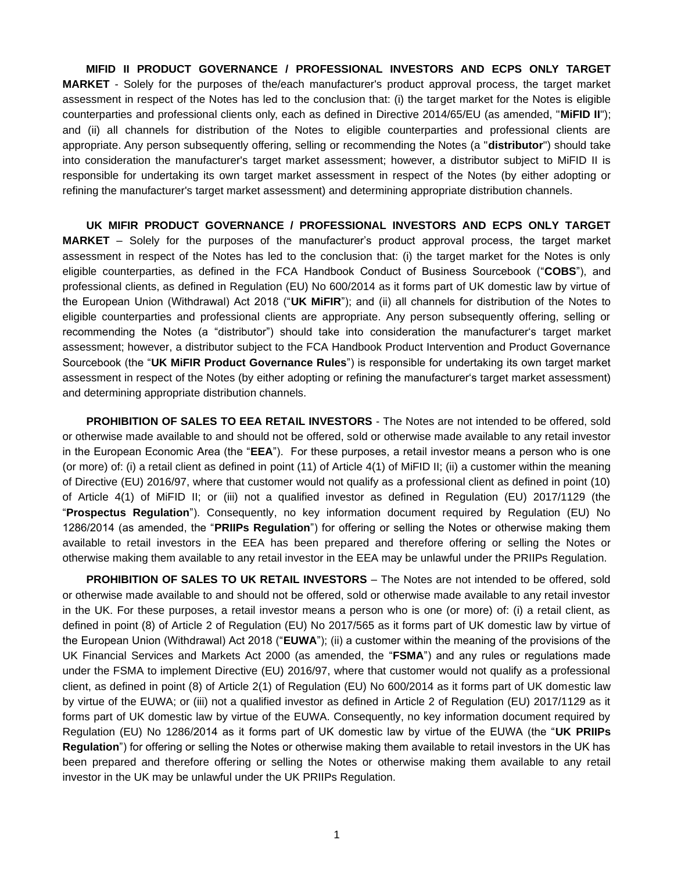**MIFID II PRODUCT GOVERNANCE / PROFESSIONAL INVESTORS AND ECPS ONLY TARGET MARKET** - Solely for the purposes of the/each manufacturer's product approval process, the target market assessment in respect of the Notes has led to the conclusion that: (i) the target market for the Notes is eligible counterparties and professional clients only, each as defined in Directive 2014/65/EU (as amended, "**MiFID II**"); and (ii) all channels for distribution of the Notes to eligible counterparties and professional clients are appropriate. Any person subsequently offering, selling or recommending the Notes (a "**distributor**") should take into consideration the manufacturer's target market assessment; however, a distributor subject to MiFID II is responsible for undertaking its own target market assessment in respect of the Notes (by either adopting or refining the manufacturer's target market assessment) and determining appropriate distribution channels.

**UK MIFIR PRODUCT GOVERNANCE / PROFESSIONAL INVESTORS AND ECPS ONLY TARGET MARKET** – Solely for the purposes of the manufacturer's product approval process, the target market assessment in respect of the Notes has led to the conclusion that: (i) the target market for the Notes is only eligible counterparties, as defined in the FCA Handbook Conduct of Business Sourcebook ("**COBS**"), and professional clients, as defined in Regulation (EU) No 600/2014 as it forms part of UK domestic law by virtue of the European Union (Withdrawal) Act 2018 ("**UK MiFIR**"); and (ii) all channels for distribution of the Notes to eligible counterparties and professional clients are appropriate. Any person subsequently offering, selling or recommending the Notes (a "distributor") should take into consideration the manufacturer's target market assessment; however, a distributor subject to the FCA Handbook Product Intervention and Product Governance Sourcebook (the "**UK MiFIR Product Governance Rules**") is responsible for undertaking its own target market assessment in respect of the Notes (by either adopting or refining the manufacturer's target market assessment) and determining appropriate distribution channels.

**PROHIBITION OF SALES TO EEA RETAIL INVESTORS** - The Notes are not intended to be offered, sold or otherwise made available to and should not be offered, sold or otherwise made available to any retail investor in the European Economic Area (the "**EEA**"). For these purposes, a retail investor means a person who is one (or more) of: (i) a retail client as defined in point (11) of Article 4(1) of MiFID II; (ii) a customer within the meaning of Directive (EU) 2016/97, where that customer would not qualify as a professional client as defined in point (10) of Article 4(1) of MiFID II; or (iii) not a qualified investor as defined in Regulation (EU) 2017/1129 (the "**Prospectus Regulation**"). Consequently, no key information document required by Regulation (EU) No 1286/2014 (as amended, the "**PRIIPs Regulation**") for offering or selling the Notes or otherwise making them available to retail investors in the EEA has been prepared and therefore offering or selling the Notes or otherwise making them available to any retail investor in the EEA may be unlawful under the PRIIPs Regulation.

**PROHIBITION OF SALES TO UK RETAIL INVESTORS** – The Notes are not intended to be offered, sold or otherwise made available to and should not be offered, sold or otherwise made available to any retail investor in the UK. For these purposes, a retail investor means a person who is one (or more) of: (i) a retail client, as defined in point (8) of Article 2 of Regulation (EU) No 2017/565 as it forms part of UK domestic law by virtue of the European Union (Withdrawal) Act 2018 ("**EUWA**"); (ii) a customer within the meaning of the provisions of the UK Financial Services and Markets Act 2000 (as amended, the "**FSMA**") and any rules or regulations made under the FSMA to implement Directive (EU) 2016/97, where that customer would not qualify as a professional client, as defined in point (8) of Article 2(1) of Regulation (EU) No 600/2014 as it forms part of UK domestic law by virtue of the EUWA; or (iii) not a qualified investor as defined in Article 2 of Regulation (EU) 2017/1129 as it forms part of UK domestic law by virtue of the EUWA. Consequently, no key information document required by Regulation (EU) No 1286/2014 as it forms part of UK domestic law by virtue of the EUWA (the "**UK PRIIPs Regulation**") for offering or selling the Notes or otherwise making them available to retail investors in the UK has been prepared and therefore offering or selling the Notes or otherwise making them available to any retail investor in the UK may be unlawful under the UK PRIIPs Regulation.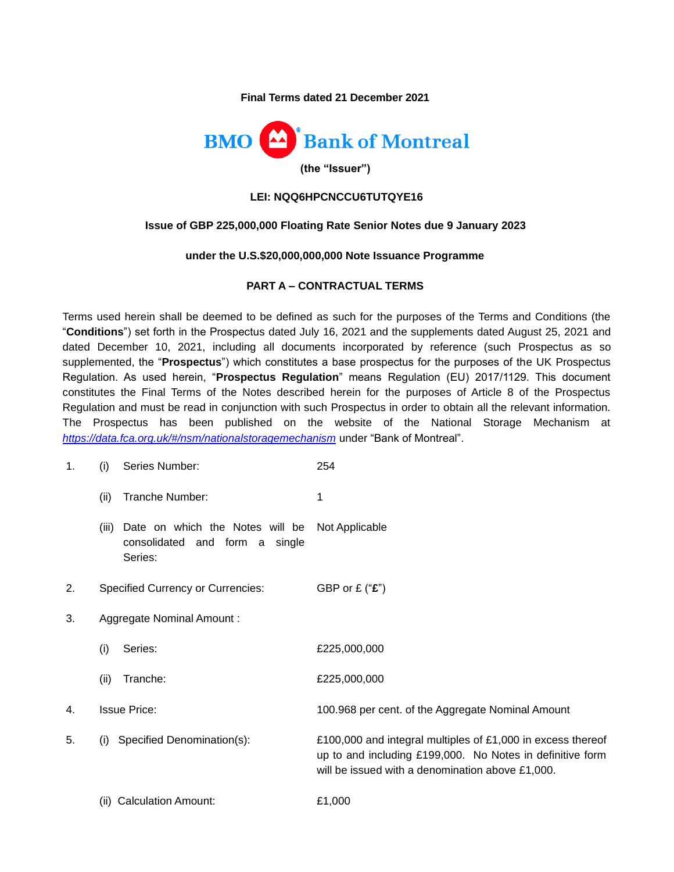**Final Terms dated 21 December 2021**



#### **LEI: NQQ6HPCNCCU6TUTQYE16**

#### **Issue of GBP 225,000,000 Floating Rate Senior Notes due 9 January 2023**

#### **under the U.S.\$20,000,000,000 Note Issuance Programme**

### **PART A – CONTRACTUAL TERMS**

Terms used herein shall be deemed to be defined as such for the purposes of the Terms and Conditions (the "**Conditions**") set forth in the Prospectus dated July 16, 2021 and the supplements dated August 25, 2021 and dated December 10, 2021, including all documents incorporated by reference (such Prospectus as so supplemented, the "**Prospectus**") which constitutes a base prospectus for the purposes of the UK Prospectus Regulation. As used herein, "**Prospectus Regulation**" means Regulation (EU) 2017/1129. This document constitutes the Final Terms of the Notes described herein for the purposes of Article 8 of the Prospectus Regulation and must be read in conjunction with such Prospectus in order to obtain all the relevant information. The Prospectus has been published on the website of the National Storage Mechanism at *<https://data.fca.org.uk/#/nsm/nationalstoragemechanism>* under "Bank of Montreal".

- 1. (i) Series Number: 254
	- (ii) Tranche Number: 1
	- (iii) Date on which the Notes will be Not Applicable consolidated and form a single Series:
- 2. Specified Currency or Currencies: GBP or £ ("**£**")
- 3. Aggregate Nominal Amount :
	- (i) Series: £225,000,000
	- (ii) Tranche: £225,000,000
- 4. Issue Price: 100.968 per cent. of the Aggregate Nominal Amount
- 5. (i) Specified Denomination(s): £100,000 and integral multiples of £1,000 in excess thereof up to and including £199,000. No Notes in definitive form will be issued with a denomination above £1,000.
	- (ii) Calculation Amount: £1,000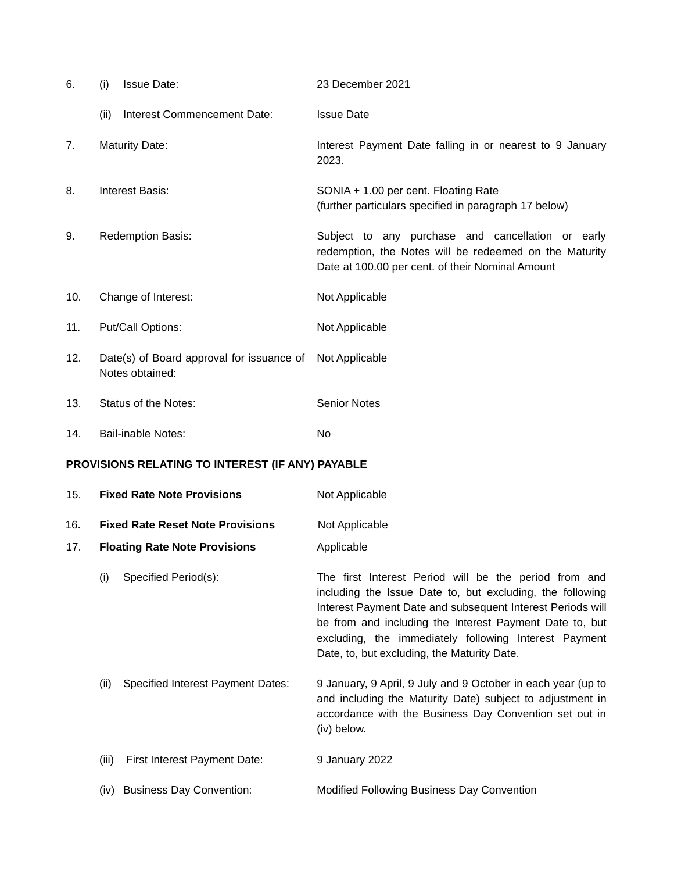| 6.                                               | (i)                                  | <b>Issue Date:</b>                                           | 23 December 2021                                                                                                                                                                                                                                                                                                                                    |
|--------------------------------------------------|--------------------------------------|--------------------------------------------------------------|-----------------------------------------------------------------------------------------------------------------------------------------------------------------------------------------------------------------------------------------------------------------------------------------------------------------------------------------------------|
|                                                  | (ii)                                 | Interest Commencement Date:                                  | <b>Issue Date</b>                                                                                                                                                                                                                                                                                                                                   |
| 7.                                               |                                      | <b>Maturity Date:</b>                                        | Interest Payment Date falling in or nearest to 9 January<br>2023.                                                                                                                                                                                                                                                                                   |
| 8.                                               |                                      | <b>Interest Basis:</b>                                       | SONIA + 1.00 per cent. Floating Rate<br>(further particulars specified in paragraph 17 below)                                                                                                                                                                                                                                                       |
| 9.                                               |                                      | Redemption Basis:                                            | Subject to any purchase and cancellation or early<br>redemption, the Notes will be redeemed on the Maturity<br>Date at 100.00 per cent. of their Nominal Amount                                                                                                                                                                                     |
| 10.                                              |                                      | Change of Interest:                                          | Not Applicable                                                                                                                                                                                                                                                                                                                                      |
| 11.                                              |                                      | Put/Call Options:                                            | Not Applicable                                                                                                                                                                                                                                                                                                                                      |
| 12.                                              |                                      | Date(s) of Board approval for issuance of<br>Notes obtained: | Not Applicable                                                                                                                                                                                                                                                                                                                                      |
| 13.                                              |                                      | Status of the Notes:                                         | <b>Senior Notes</b>                                                                                                                                                                                                                                                                                                                                 |
| 14.                                              |                                      | <b>Bail-inable Notes:</b>                                    | No                                                                                                                                                                                                                                                                                                                                                  |
| PROVISIONS RELATING TO INTEREST (IF ANY) PAYABLE |                                      |                                                              |                                                                                                                                                                                                                                                                                                                                                     |
| 15.                                              | <b>Fixed Rate Note Provisions</b>    |                                                              | Not Applicable                                                                                                                                                                                                                                                                                                                                      |
| 16.                                              |                                      | <b>Fixed Rate Reset Note Provisions</b>                      | Not Applicable                                                                                                                                                                                                                                                                                                                                      |
| 17.                                              | <b>Floating Rate Note Provisions</b> |                                                              | Applicable                                                                                                                                                                                                                                                                                                                                          |
|                                                  | (i)                                  | Specified Period(s):                                         | The first Interest Period will be the period from and<br>including the Issue Date to, but excluding, the following<br>Interest Payment Date and subsequent Interest Periods will<br>be from and including the Interest Payment Date to, but<br>excluding, the immediately following Interest Payment<br>Date, to, but excluding, the Maturity Date. |
|                                                  | (ii)                                 | <b>Specified Interest Payment Dates:</b>                     | 9 January, 9 April, 9 July and 9 October in each year (up to<br>and including the Maturity Date) subject to adjustment in<br>accordance with the Business Day Convention set out in<br>(iv) below.                                                                                                                                                  |
|                                                  | (iii)                                | First Interest Payment Date:                                 | 9 January 2022                                                                                                                                                                                                                                                                                                                                      |
|                                                  |                                      | (iv) Business Day Convention:                                | Modified Following Business Day Convention                                                                                                                                                                                                                                                                                                          |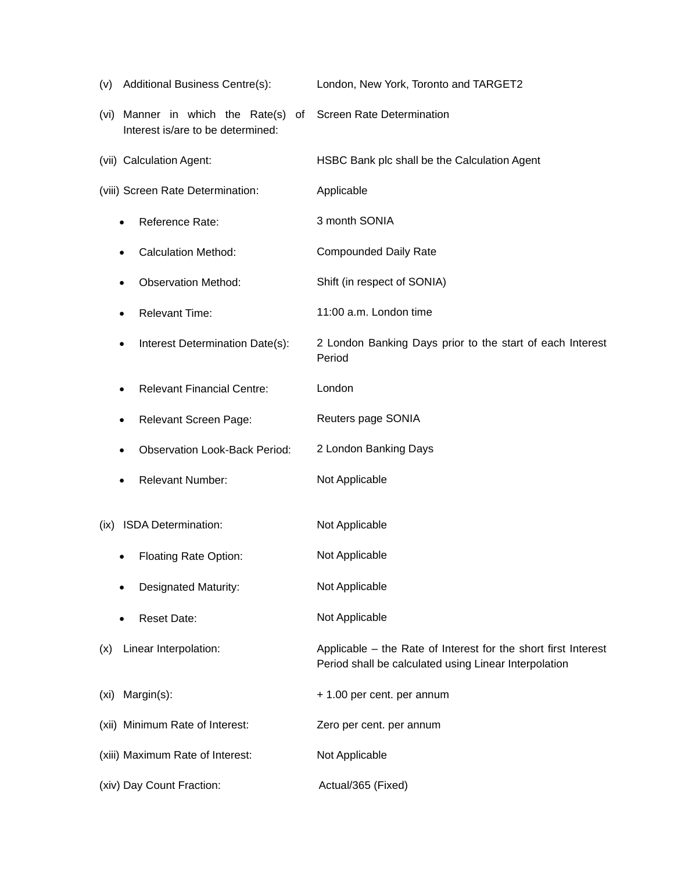| (v) Additional Business Centre(s):                                             | London, New York, Toronto and TARGET2                                                                                   |
|--------------------------------------------------------------------------------|-------------------------------------------------------------------------------------------------------------------------|
| Manner in which the Rate(s)<br>of<br>(vi)<br>Interest is/are to be determined: | <b>Screen Rate Determination</b>                                                                                        |
| (vii) Calculation Agent:                                                       | HSBC Bank plc shall be the Calculation Agent                                                                            |
| (viii) Screen Rate Determination:                                              | Applicable                                                                                                              |
| Reference Rate:                                                                | 3 month SONIA                                                                                                           |
| <b>Calculation Method:</b>                                                     | <b>Compounded Daily Rate</b>                                                                                            |
| <b>Observation Method:</b>                                                     | Shift (in respect of SONIA)                                                                                             |
| <b>Relevant Time:</b>                                                          | 11:00 a.m. London time                                                                                                  |
| Interest Determination Date(s):                                                | 2 London Banking Days prior to the start of each Interest<br>Period                                                     |
| <b>Relevant Financial Centre:</b>                                              | London                                                                                                                  |
| Relevant Screen Page:                                                          | Reuters page SONIA                                                                                                      |
| <b>Observation Look-Back Period:</b>                                           | 2 London Banking Days                                                                                                   |
| <b>Relevant Number:</b>                                                        | Not Applicable                                                                                                          |
| ISDA Determination:<br>(ix)                                                    | Not Applicable                                                                                                          |
| <b>Floating Rate Option:</b>                                                   | Not Applicable                                                                                                          |
| Designated Maturity:                                                           | Not Applicable                                                                                                          |
| <b>Reset Date:</b>                                                             | Not Applicable                                                                                                          |
| Linear Interpolation:<br>(x)                                                   | Applicable – the Rate of Interest for the short first Interest<br>Period shall be calculated using Linear Interpolation |
| Margin(s):<br>(xi)                                                             | + 1.00 per cent. per annum                                                                                              |
| (xii) Minimum Rate of Interest:                                                | Zero per cent. per annum                                                                                                |
| (xiii) Maximum Rate of Interest:                                               | Not Applicable                                                                                                          |
| (xiv) Day Count Fraction:                                                      | Actual/365 (Fixed)                                                                                                      |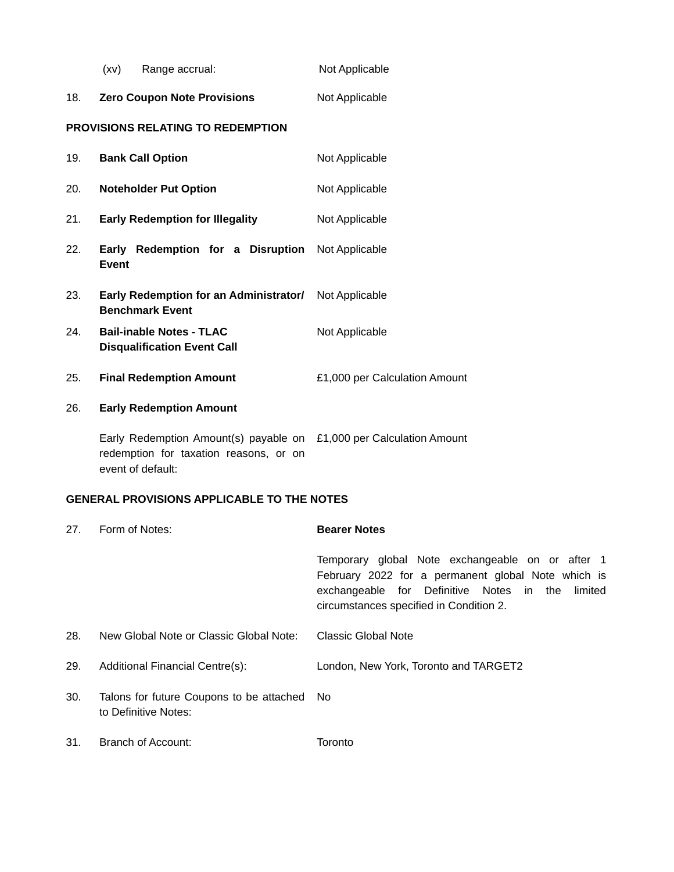|     | (xv)<br>Range accrual:                                                                                                             | Not Applicable                |
|-----|------------------------------------------------------------------------------------------------------------------------------------|-------------------------------|
| 18. | <b>Zero Coupon Note Provisions</b>                                                                                                 | Not Applicable                |
|     | <b>PROVISIONS RELATING TO REDEMPTION</b>                                                                                           |                               |
| 19. | <b>Bank Call Option</b>                                                                                                            | Not Applicable                |
| 20. | <b>Noteholder Put Option</b>                                                                                                       | Not Applicable                |
| 21. | <b>Early Redemption for Illegality</b>                                                                                             | Not Applicable                |
| 22. | Early Redemption for a Disruption<br><b>Event</b>                                                                                  | Not Applicable                |
| 23. | Early Redemption for an Administrator/ Not Applicable<br><b>Benchmark Event</b>                                                    |                               |
| 24. | <b>Bail-inable Notes - TLAC</b><br><b>Disqualification Event Call</b>                                                              | Not Applicable                |
| 25. | <b>Final Redemption Amount</b>                                                                                                     | £1,000 per Calculation Amount |
| 26. | <b>Early Redemption Amount</b>                                                                                                     |                               |
|     | Early Redemption Amount(s) payable on £1,000 per Calculation Amount<br>redemption for taxation reasons, or on<br>event of default: |                               |

## **GENERAL PROVISIONS APPLICABLE TO THE NOTES**

| 27. | Form of Notes:                                                   | <b>Bearer Notes</b>                                                                                                                                                                                      |
|-----|------------------------------------------------------------------|----------------------------------------------------------------------------------------------------------------------------------------------------------------------------------------------------------|
|     |                                                                  | Temporary global Note exchangeable on or after 1<br>February 2022 for a permanent global Note which is<br>exchangeable for Definitive Notes in the<br>limited<br>circumstances specified in Condition 2. |
| 28. | New Global Note or Classic Global Note:                          | Classic Global Note                                                                                                                                                                                      |
| 29. | Additional Financial Centre(s):                                  | London, New York, Toronto and TARGET2                                                                                                                                                                    |
| 30. | Talons for future Coupons to be attached<br>to Definitive Notes: | No.                                                                                                                                                                                                      |
| 31. | Branch of Account:                                               | Toronto                                                                                                                                                                                                  |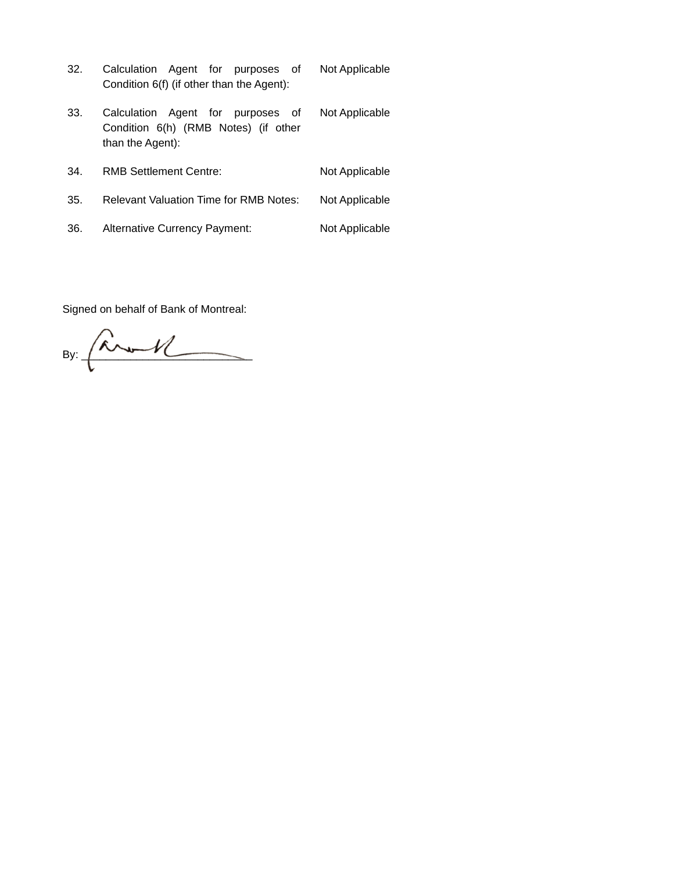- 32. Calculation Agent for purposes of Condition 6(f) (if other than the Agent): Not Applicable Not Applicable
- 33. Calculation Agent for purposes of Condition 6(h) (RMB Notes) (if other than the Agent):
- 34. RMB Settlement Centre: Not Applicable 35. Relevant Valuation Time for RMB Notes: Not Applicable 36. Alternative Currency Payment: Not Applicable

Signed on behalf of Bank of Montreal:

By: \_\_\_\_\_\_\_\_\_\_\_\_\_\_\_\_\_\_\_\_\_\_\_\_\_\_\_\_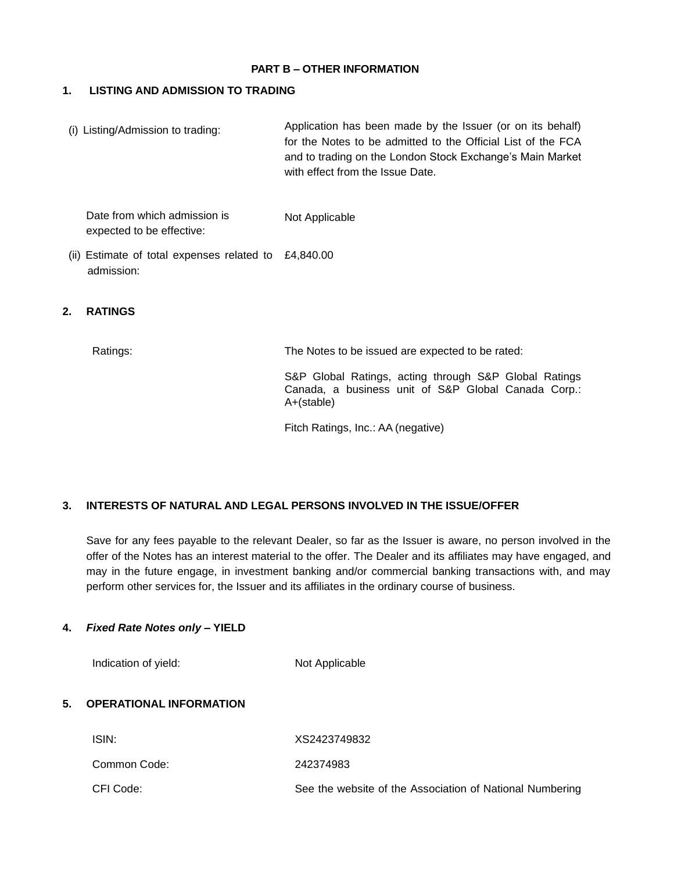#### **PART B – OTHER INFORMATION**

### **1. LISTING AND ADMISSION TO TRADING**

(i) Listing/Admission to trading: Application has been made by the Issuer (or on its behalf) for the Notes to be admitted to the Official List of the FCA and to trading on the London Stock Exchange's Main Market with effect from the Issue Date.

Date from which admission is expected to be effective: Not Applicable

(ii) Estimate of total expenses related to £4,840.00 admission:

#### **2. RATINGS**

Ratings: The Notes to be issued are expected to be rated:

S&P Global Ratings, acting through S&P Global Ratings Canada, a business unit of S&P Global Canada Corp.: A+(stable)

Fitch Ratings, Inc.: AA (negative)

#### **3. INTERESTS OF NATURAL AND LEGAL PERSONS INVOLVED IN THE ISSUE/OFFER**

Save for any fees payable to the relevant Dealer, so far as the Issuer is aware, no person involved in the offer of the Notes has an interest material to the offer. The Dealer and its affiliates may have engaged, and may in the future engage, in investment banking and/or commercial banking transactions with, and may perform other services for, the Issuer and its affiliates in the ordinary course of business.

#### **4.** *Fixed Rate Notes only* **– YIELD**

Indication of yield: Not Applicable

#### **5. OPERATIONAL INFORMATION**

| ISIN:        | XS2423749832                                             |
|--------------|----------------------------------------------------------|
| Common Code: | 242374983                                                |
| CFI Code:    | See the website of the Association of National Numbering |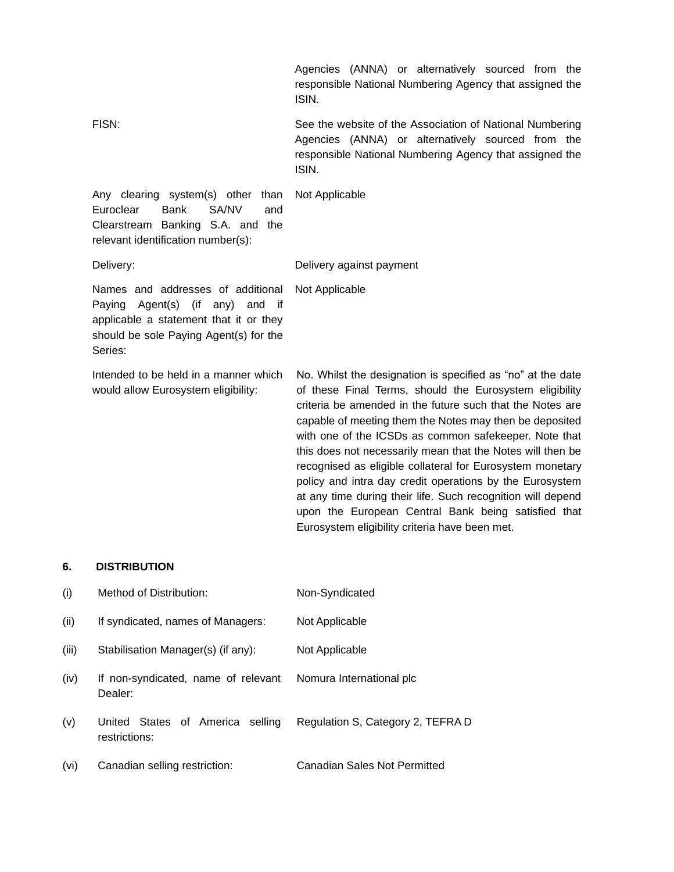|                                                                                                                                                                                 | Agencies (ANNA) or alternatively sourced from the<br>responsible National Numbering Agency that assigned the<br>ISIN.                                                                                                                                                                                                                                                                                                                                                                                                                                                                                                                                                  |
|---------------------------------------------------------------------------------------------------------------------------------------------------------------------------------|------------------------------------------------------------------------------------------------------------------------------------------------------------------------------------------------------------------------------------------------------------------------------------------------------------------------------------------------------------------------------------------------------------------------------------------------------------------------------------------------------------------------------------------------------------------------------------------------------------------------------------------------------------------------|
| FISN:                                                                                                                                                                           | See the website of the Association of National Numbering<br>Agencies (ANNA) or alternatively sourced from the<br>responsible National Numbering Agency that assigned the<br>ISIN.                                                                                                                                                                                                                                                                                                                                                                                                                                                                                      |
| Any clearing system(s) other than<br>Euroclear<br><b>Bank</b><br>SA/NV<br>and<br>Clearstream Banking S.A. and the<br>relevant identification number(s):                         | Not Applicable                                                                                                                                                                                                                                                                                                                                                                                                                                                                                                                                                                                                                                                         |
| Delivery:                                                                                                                                                                       | Delivery against payment                                                                                                                                                                                                                                                                                                                                                                                                                                                                                                                                                                                                                                               |
| Names and addresses of additional<br>Agent(s) (if<br>any)<br>and<br>Paying<br>if<br>applicable a statement that it or they<br>should be sole Paying Agent(s) for the<br>Series: | Not Applicable                                                                                                                                                                                                                                                                                                                                                                                                                                                                                                                                                                                                                                                         |
| Intended to be held in a manner which<br>would allow Eurosystem eligibility:                                                                                                    | No. Whilst the designation is specified as "no" at the date<br>of these Final Terms, should the Eurosystem eligibility<br>criteria be amended in the future such that the Notes are<br>capable of meeting them the Notes may then be deposited<br>with one of the ICSDs as common safekeeper. Note that<br>this does not necessarily mean that the Notes will then be<br>recognised as eligible collateral for Eurosystem monetary<br>policy and intra day credit operations by the Eurosystem<br>at any time during their life. Such recognition will depend<br>upon the European Central Bank being satisfied that<br>Eurosystem eligibility criteria have been met. |

# **6. DISTRIBUTION**

| (i)   | Method of Distribution:                           | Non-Syndicated                    |
|-------|---------------------------------------------------|-----------------------------------|
| (ii)  | If syndicated, names of Managers:                 | Not Applicable                    |
| (iii) | Stabilisation Manager(s) (if any):                | Not Applicable                    |
| (iv)  | If non-syndicated, name of relevant<br>Dealer:    | Nomura International plc          |
| (v)   | United States of America selling<br>restrictions: | Regulation S, Category 2, TEFRA D |
| (vi)  | Canadian selling restriction:                     | Canadian Sales Not Permitted      |